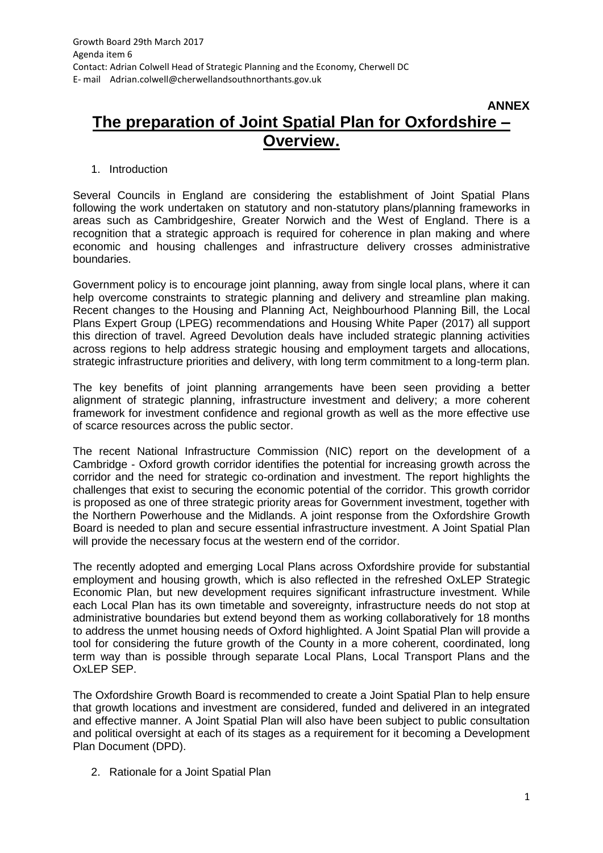## **The preparation of Joint Spatial Plan for Oxfordshire – Overview.**

## 1. Introduction

Several Councils in England are considering the establishment of Joint Spatial Plans following the work undertaken on statutory and non-statutory plans/planning frameworks in areas such as Cambridgeshire, Greater Norwich and the West of England. There is a recognition that a strategic approach is required for coherence in plan making and where economic and housing challenges and infrastructure delivery crosses administrative boundaries.

Government policy is to encourage joint planning, away from single local plans, where it can help overcome constraints to strategic planning and delivery and streamline plan making. Recent changes to the Housing and Planning Act, Neighbourhood Planning Bill, the Local Plans Expert Group (LPEG) recommendations and Housing White Paper (2017) all support this direction of travel. Agreed Devolution deals have included strategic planning activities across regions to help address strategic housing and employment targets and allocations, strategic infrastructure priorities and delivery, with long term commitment to a long-term plan.

The key benefits of joint planning arrangements have been seen providing a better alignment of strategic planning, infrastructure investment and delivery; a more coherent framework for investment confidence and regional growth as well as the more effective use of scarce resources across the public sector.

The recent National Infrastructure Commission (NIC) report on the development of a Cambridge - Oxford growth corridor identifies the potential for increasing growth across the corridor and the need for strategic co-ordination and investment. The report highlights the challenges that exist to securing the economic potential of the corridor. This growth corridor is proposed as one of three strategic priority areas for Government investment, together with the Northern Powerhouse and the Midlands. A joint response from the Oxfordshire Growth Board is needed to plan and secure essential infrastructure investment. A Joint Spatial Plan will provide the necessary focus at the western end of the corridor.

The recently adopted and emerging Local Plans across Oxfordshire provide for substantial employment and housing growth, which is also reflected in the refreshed OxLEP Strategic Economic Plan, but new development requires significant infrastructure investment. While each Local Plan has its own timetable and sovereignty, infrastructure needs do not stop at administrative boundaries but extend beyond them as working collaboratively for 18 months to address the unmet housing needs of Oxford highlighted. A Joint Spatial Plan will provide a tool for considering the future growth of the County in a more coherent, coordinated, long term way than is possible through separate Local Plans, Local Transport Plans and the OxLEP SEP.

The Oxfordshire Growth Board is recommended to create a Joint Spatial Plan to help ensure that growth locations and investment are considered, funded and delivered in an integrated and effective manner. A Joint Spatial Plan will also have been subject to public consultation and political oversight at each of its stages as a requirement for it becoming a Development Plan Document (DPD).

2. Rationale for a Joint Spatial Plan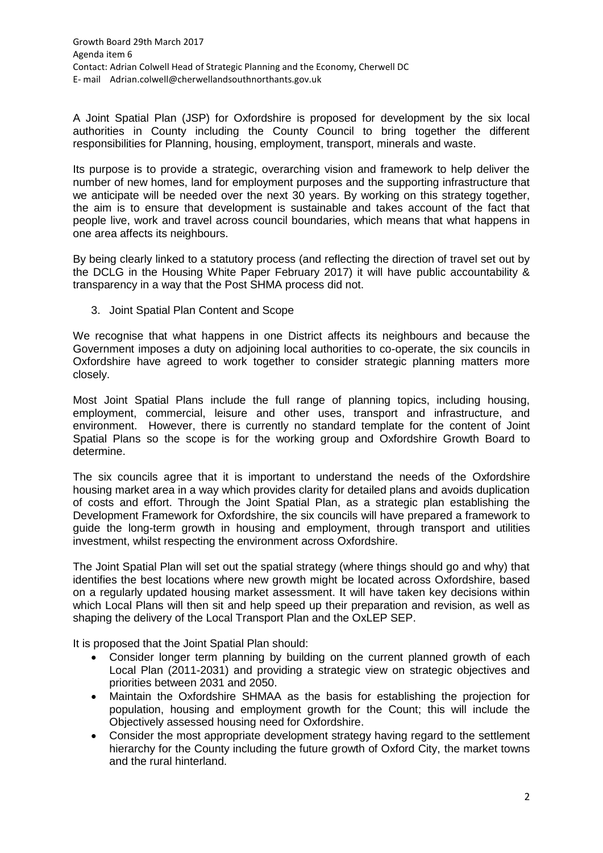A Joint Spatial Plan (JSP) for Oxfordshire is proposed for development by the six local authorities in County including the County Council to bring together the different responsibilities for Planning, housing, employment, transport, minerals and waste.

Its purpose is to provide a strategic, overarching vision and framework to help deliver the number of new homes, land for employment purposes and the supporting infrastructure that we anticipate will be needed over the next 30 years. By working on this strategy together, the aim is to ensure that development is sustainable and takes account of the fact that people live, work and travel across council boundaries, which means that what happens in one area affects its neighbours.

By being clearly linked to a statutory process (and reflecting the direction of travel set out by the DCLG in the Housing White Paper February 2017) it will have public accountability & transparency in a way that the Post SHMA process did not.

3. Joint Spatial Plan Content and Scope

We recognise that what happens in one District affects its neighbours and because the Government imposes a duty on adjoining local authorities to co-operate, the six councils in Oxfordshire have agreed to work together to consider strategic planning matters more closely.

Most Joint Spatial Plans include the full range of planning topics, including housing, employment, commercial, leisure and other uses, transport and infrastructure, and environment. However, there is currently no standard template for the content of Joint Spatial Plans so the scope is for the working group and Oxfordshire Growth Board to determine.

The six councils agree that it is important to understand the needs of the Oxfordshire housing market area in a way which provides clarity for detailed plans and avoids duplication of costs and effort. Through the Joint Spatial Plan, as a strategic plan establishing the Development Framework for Oxfordshire, the six councils will have prepared a framework to guide the long-term growth in housing and employment, through transport and utilities investment, whilst respecting the environment across Oxfordshire.

The Joint Spatial Plan will set out the spatial strategy (where things should go and why) that identifies the best locations where new growth might be located across Oxfordshire, based on a regularly updated housing market assessment. It will have taken key decisions within which Local Plans will then sit and help speed up their preparation and revision, as well as shaping the delivery of the Local Transport Plan and the OxLEP SEP.

It is proposed that the Joint Spatial Plan should:

- Consider longer term planning by building on the current planned growth of each Local Plan (2011-2031) and providing a strategic view on strategic objectives and priorities between 2031 and 2050.
- Maintain the Oxfordshire SHMAA as the basis for establishing the projection for population, housing and employment growth for the Count; this will include the Objectively assessed housing need for Oxfordshire.
- Consider the most appropriate development strategy having regard to the settlement hierarchy for the County including the future growth of Oxford City, the market towns and the rural hinterland.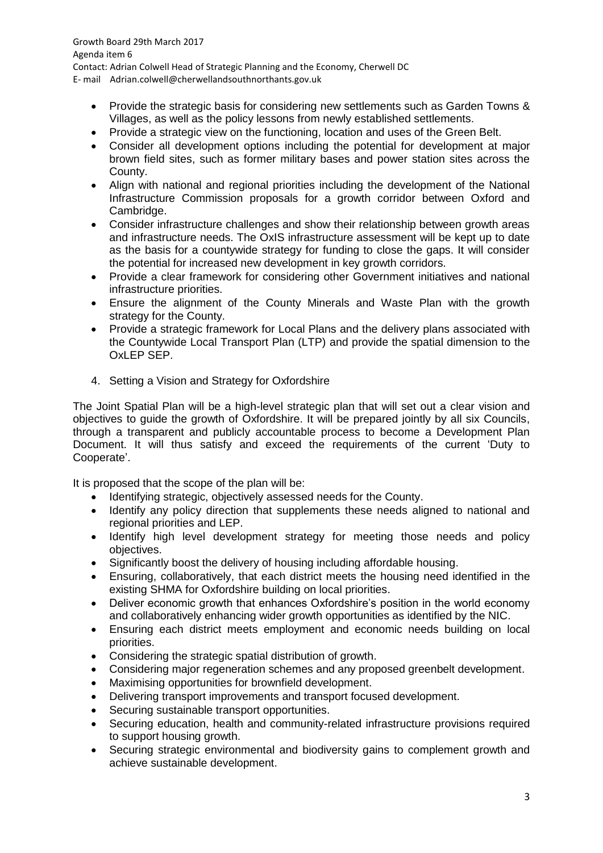E- mail Adrian.colwell@cherwellandsouthnorthants.gov.uk

- Provide the strategic basis for considering new settlements such as Garden Towns & Villages, as well as the policy lessons from newly established settlements.
- Provide a strategic view on the functioning, location and uses of the Green Belt.
- Consider all development options including the potential for development at major brown field sites, such as former military bases and power station sites across the County.
- Align with national and regional priorities including the development of the National Infrastructure Commission proposals for a growth corridor between Oxford and Cambridge.
- Consider infrastructure challenges and show their relationship between growth areas and infrastructure needs. The OxIS infrastructure assessment will be kept up to date as the basis for a countywide strategy for funding to close the gaps. It will consider the potential for increased new development in key growth corridors.
- Provide a clear framework for considering other Government initiatives and national infrastructure priorities.
- Ensure the alignment of the County Minerals and Waste Plan with the growth strategy for the County.
- Provide a strategic framework for Local Plans and the delivery plans associated with the Countywide Local Transport Plan (LTP) and provide the spatial dimension to the OxLEP SEP.
- 4. Setting a Vision and Strategy for Oxfordshire

The Joint Spatial Plan will be a high-level strategic plan that will set out a clear vision and objectives to guide the growth of Oxfordshire. It will be prepared jointly by all six Councils, through a transparent and publicly accountable process to become a Development Plan Document. It will thus satisfy and exceed the requirements of the current 'Duty to Cooperate'.

It is proposed that the scope of the plan will be:

- Identifying strategic, objectively assessed needs for the County.
- Identify any policy direction that supplements these needs aligned to national and regional priorities and LEP.
- Identify high level development strategy for meeting those needs and policy objectives.
- Significantly boost the delivery of housing including affordable housing.
- Ensuring, collaboratively, that each district meets the housing need identified in the existing SHMA for Oxfordshire building on local priorities.
- Deliver economic growth that enhances Oxfordshire's position in the world economy and collaboratively enhancing wider growth opportunities as identified by the NIC.
- Ensuring each district meets employment and economic needs building on local priorities.
- Considering the strategic spatial distribution of growth.
- Considering major regeneration schemes and any proposed greenbelt development.
- Maximising opportunities for brownfield development.
- Delivering transport improvements and transport focused development.
- Securing sustainable transport opportunities.
- Securing education, health and community-related infrastructure provisions required to support housing growth.
- Securing strategic environmental and biodiversity gains to complement growth and achieve sustainable development.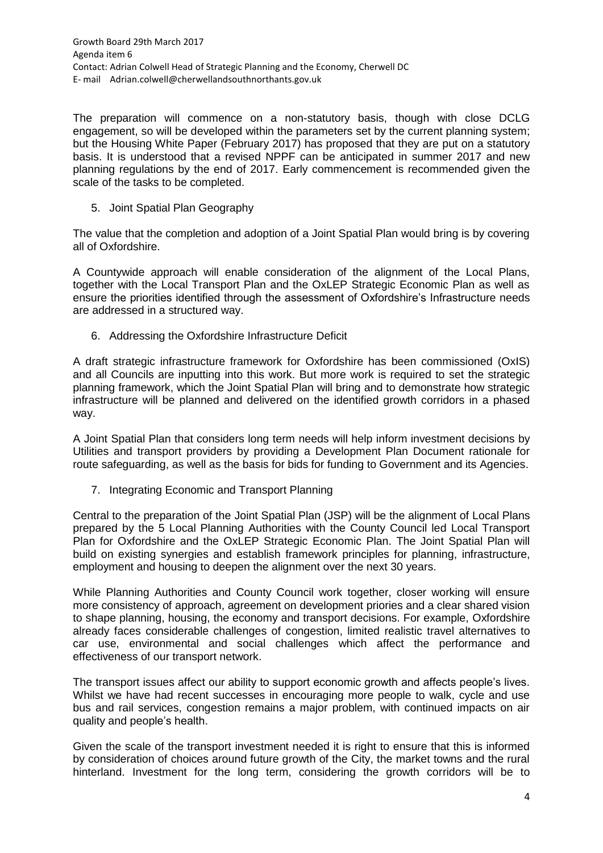The preparation will commence on a non-statutory basis, though with close DCLG engagement, so will be developed within the parameters set by the current planning system; but the Housing White Paper (February 2017) has proposed that they are put on a statutory basis. It is understood that a revised NPPF can be anticipated in summer 2017 and new planning regulations by the end of 2017. Early commencement is recommended given the scale of the tasks to be completed.

5. Joint Spatial Plan Geography

The value that the completion and adoption of a Joint Spatial Plan would bring is by covering all of Oxfordshire.

A Countywide approach will enable consideration of the alignment of the Local Plans, together with the Local Transport Plan and the OxLEP Strategic Economic Plan as well as ensure the priorities identified through the assessment of Oxfordshire's Infrastructure needs are addressed in a structured way.

6. Addressing the Oxfordshire Infrastructure Deficit

A draft strategic infrastructure framework for Oxfordshire has been commissioned (OxIS) and all Councils are inputting into this work. But more work is required to set the strategic planning framework, which the Joint Spatial Plan will bring and to demonstrate how strategic infrastructure will be planned and delivered on the identified growth corridors in a phased way.

A Joint Spatial Plan that considers long term needs will help inform investment decisions by Utilities and transport providers by providing a Development Plan Document rationale for route safeguarding, as well as the basis for bids for funding to Government and its Agencies.

7. Integrating Economic and Transport Planning

Central to the preparation of the Joint Spatial Plan (JSP) will be the alignment of Local Plans prepared by the 5 Local Planning Authorities with the County Council led Local Transport Plan for Oxfordshire and the OxLEP Strategic Economic Plan. The Joint Spatial Plan will build on existing synergies and establish framework principles for planning, infrastructure, employment and housing to deepen the alignment over the next 30 years.

While Planning Authorities and County Council work together, closer working will ensure more consistency of approach, agreement on development priories and a clear shared vision to shape planning, housing, the economy and transport decisions. For example, Oxfordshire already faces considerable challenges of congestion, limited realistic travel alternatives to car use, environmental and social challenges which affect the performance and effectiveness of our transport network.

The transport issues affect our ability to support economic growth and affects people's lives. Whilst we have had recent successes in encouraging more people to walk, cycle and use bus and rail services, congestion remains a major problem, with continued impacts on air quality and people's health.

Given the scale of the transport investment needed it is right to ensure that this is informed by consideration of choices around future growth of the City, the market towns and the rural hinterland. Investment for the long term, considering the growth corridors will be to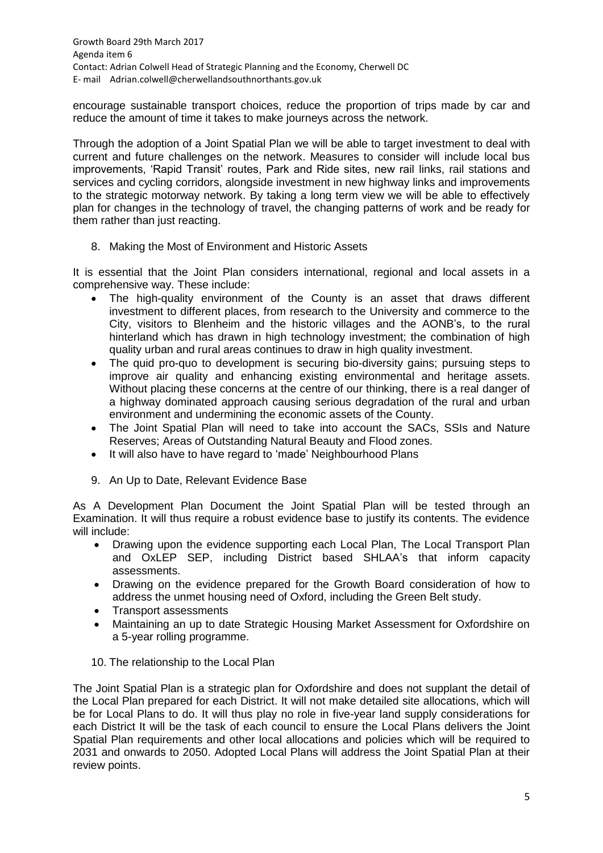encourage sustainable transport choices, reduce the proportion of trips made by car and reduce the amount of time it takes to make journeys across the network.

Through the adoption of a Joint Spatial Plan we will be able to target investment to deal with current and future challenges on the network. Measures to consider will include local bus improvements, 'Rapid Transit' routes, Park and Ride sites, new rail links, rail stations and services and cycling corridors, alongside investment in new highway links and improvements to the strategic motorway network. By taking a long term view we will be able to effectively plan for changes in the technology of travel, the changing patterns of work and be ready for them rather than just reacting.

8. Making the Most of Environment and Historic Assets

It is essential that the Joint Plan considers international, regional and local assets in a comprehensive way. These include:

- The high-quality environment of the County is an asset that draws different investment to different places, from research to the University and commerce to the City, visitors to Blenheim and the historic villages and the AONB's, to the rural hinterland which has drawn in high technology investment; the combination of high quality urban and rural areas continues to draw in high quality investment.
- The quid pro-quo to development is securing bio-diversity gains; pursuing steps to improve air quality and enhancing existing environmental and heritage assets. Without placing these concerns at the centre of our thinking, there is a real danger of a highway dominated approach causing serious degradation of the rural and urban environment and undermining the economic assets of the County.
- The Joint Spatial Plan will need to take into account the SACs, SSIs and Nature Reserves; Areas of Outstanding Natural Beauty and Flood zones.
- It will also have to have regard to 'made' Neighbourhood Plans
- 9. An Up to Date, Relevant Evidence Base

As A Development Plan Document the Joint Spatial Plan will be tested through an Examination. It will thus require a robust evidence base to justify its contents. The evidence will include:

- Drawing upon the evidence supporting each Local Plan, The Local Transport Plan and OxLEP SEP, including District based SHLAA's that inform capacity assessments.
- Drawing on the evidence prepared for the Growth Board consideration of how to address the unmet housing need of Oxford, including the Green Belt study.
- Transport assessments
- Maintaining an up to date Strategic Housing Market Assessment for Oxfordshire on a 5-year rolling programme.
- 10. The relationship to the Local Plan

The Joint Spatial Plan is a strategic plan for Oxfordshire and does not supplant the detail of the Local Plan prepared for each District. It will not make detailed site allocations, which will be for Local Plans to do. It will thus play no role in five-year land supply considerations for each District It will be the task of each council to ensure the Local Plans delivers the Joint Spatial Plan requirements and other local allocations and policies which will be required to 2031 and onwards to 2050. Adopted Local Plans will address the Joint Spatial Plan at their review points.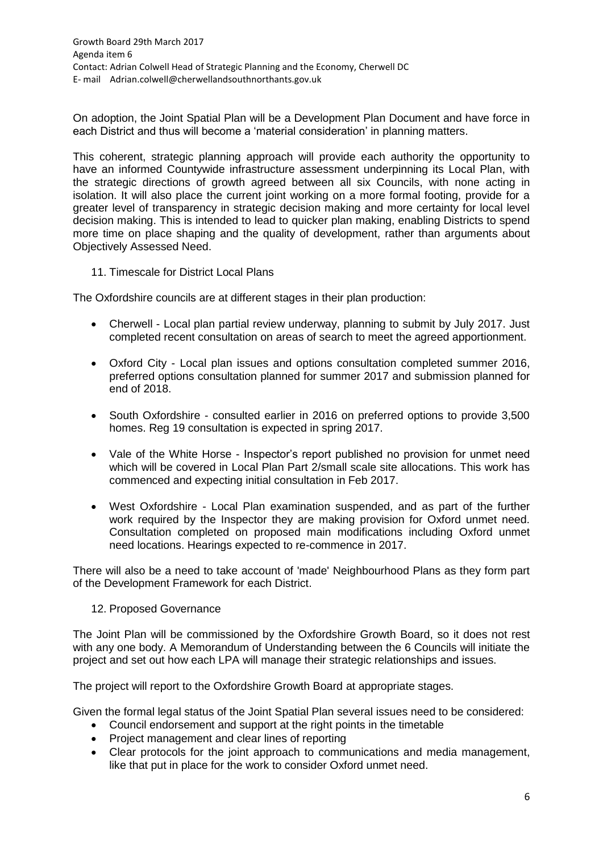On adoption, the Joint Spatial Plan will be a Development Plan Document and have force in each District and thus will become a 'material consideration' in planning matters.

This coherent, strategic planning approach will provide each authority the opportunity to have an informed Countywide infrastructure assessment underpinning its Local Plan, with the strategic directions of growth agreed between all six Councils, with none acting in isolation. It will also place the current joint working on a more formal footing, provide for a greater level of transparency in strategic decision making and more certainty for local level decision making. This is intended to lead to quicker plan making, enabling Districts to spend more time on place shaping and the quality of development, rather than arguments about Objectively Assessed Need.

11. Timescale for District Local Plans

The Oxfordshire councils are at different stages in their plan production:

- Cherwell Local plan partial review underway, planning to submit by July 2017. Just completed recent consultation on areas of search to meet the agreed apportionment.
- Oxford City Local plan issues and options consultation completed summer 2016, preferred options consultation planned for summer 2017 and submission planned for end of 2018.
- South Oxfordshire consulted earlier in 2016 on preferred options to provide 3,500 homes. Reg 19 consultation is expected in spring 2017.
- Vale of the White Horse Inspector's report published no provision for unmet need which will be covered in Local Plan Part 2/small scale site allocations. This work has commenced and expecting initial consultation in Feb 2017.
- West Oxfordshire Local Plan examination suspended, and as part of the further work required by the Inspector they are making provision for Oxford unmet need. Consultation completed on proposed main modifications including Oxford unmet need locations. Hearings expected to re-commence in 2017.

There will also be a need to take account of 'made' Neighbourhood Plans as they form part of the Development Framework for each District.

## 12. Proposed Governance

The Joint Plan will be commissioned by the Oxfordshire Growth Board, so it does not rest with any one body. A Memorandum of Understanding between the 6 Councils will initiate the project and set out how each LPA will manage their strategic relationships and issues.

The project will report to the Oxfordshire Growth Board at appropriate stages.

Given the formal legal status of the Joint Spatial Plan several issues need to be considered:

- Council endorsement and support at the right points in the timetable
- Project management and clear lines of reporting
- Clear protocols for the joint approach to communications and media management, like that put in place for the work to consider Oxford unmet need.